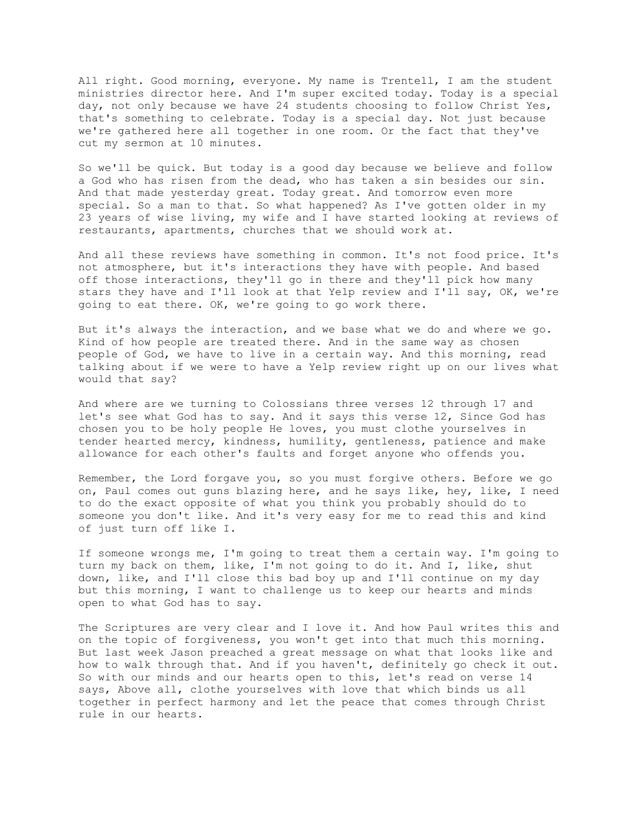All right. Good morning, everyone. My name is Trentell, I am the student ministries director here. And I'm super excited today. Today is a special day, not only because we have 24 students choosing to follow Christ Yes, that's something to celebrate. Today is a special day. Not just because we're gathered here all together in one room. Or the fact that they've cut my sermon at 10 minutes.

So we'll be quick. But today is a good day because we believe and follow a God who has risen from the dead, who has taken a sin besides our sin. And that made yesterday great. Today great. And tomorrow even more special. So a man to that. So what happened? As I've gotten older in my 23 years of wise living, my wife and I have started looking at reviews of restaurants, apartments, churches that we should work at.

And all these reviews have something in common. It's not food price. It's not atmosphere, but it's interactions they have with people. And based off those interactions, they'll go in there and they'll pick how many stars they have and I'll look at that Yelp review and I'll say, OK, we're going to eat there. OK, we're going to go work there.

But it's always the interaction, and we base what we do and where we go. Kind of how people are treated there. And in the same way as chosen people of God, we have to live in a certain way. And this morning, read talking about if we were to have a Yelp review right up on our lives what would that say?

And where are we turning to Colossians three verses 12 through 17 and let's see what God has to say. And it says this verse 12, Since God has chosen you to be holy people He loves, you must clothe yourselves in tender hearted mercy, kindness, humility, gentleness, patience and make allowance for each other's faults and forget anyone who offends you.

Remember, the Lord forgave you, so you must forgive others. Before we go on, Paul comes out guns blazing here, and he says like, hey, like, I need to do the exact opposite of what you think you probably should do to someone you don't like. And it's very easy for me to read this and kind of just turn off like I.

If someone wrongs me, I'm going to treat them a certain way. I'm going to turn my back on them, like, I'm not going to do it. And I, like, shut down, like, and I'll close this bad boy up and I'll continue on my day but this morning, I want to challenge us to keep our hearts and minds open to what God has to say.

The Scriptures are very clear and I love it. And how Paul writes this and on the topic of forgiveness, you won't get into that much this morning. But last week Jason preached a great message on what that looks like and how to walk through that. And if you haven't, definitely go check it out. So with our minds and our hearts open to this, let's read on verse 14 says, Above all, clothe yourselves with love that which binds us all together in perfect harmony and let the peace that comes through Christ rule in our hearts.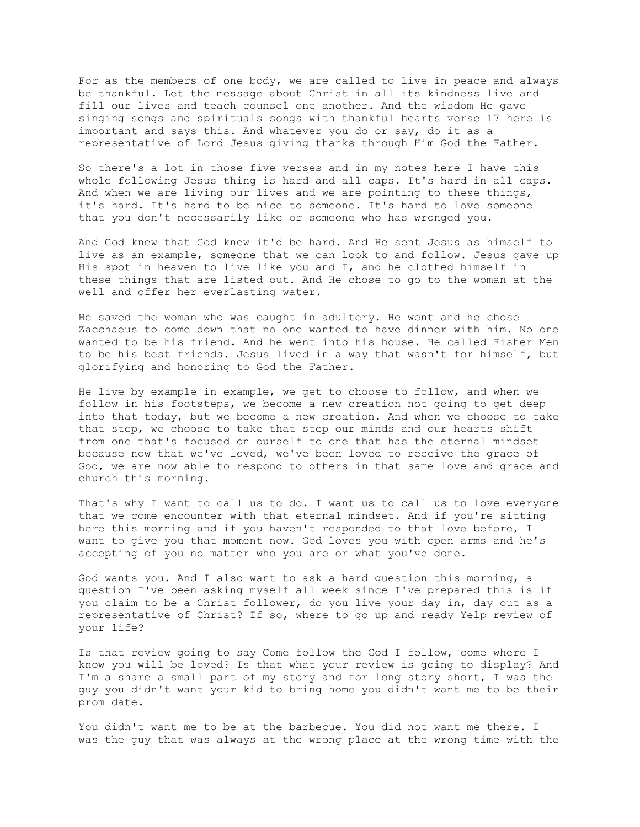For as the members of one body, we are called to live in peace and always be thankful. Let the message about Christ in all its kindness live and fill our lives and teach counsel one another. And the wisdom He gave singing songs and spirituals songs with thankful hearts verse 17 here is important and says this. And whatever you do or say, do it as a representative of Lord Jesus giving thanks through Him God the Father.

So there's a lot in those five verses and in my notes here I have this whole following Jesus thing is hard and all caps. It's hard in all caps. And when we are living our lives and we are pointing to these things, it's hard. It's hard to be nice to someone. It's hard to love someone that you don't necessarily like or someone who has wronged you.

And God knew that God knew it'd be hard. And He sent Jesus as himself to live as an example, someone that we can look to and follow. Jesus gave up His spot in heaven to live like you and I, and he clothed himself in these things that are listed out. And He chose to go to the woman at the well and offer her everlasting water.

He saved the woman who was caught in adultery. He went and he chose Zacchaeus to come down that no one wanted to have dinner with him. No one wanted to be his friend. And he went into his house. He called Fisher Men to be his best friends. Jesus lived in a way that wasn't for himself, but glorifying and honoring to God the Father.

He live by example in example, we get to choose to follow, and when we follow in his footsteps, we become a new creation not going to get deep into that today, but we become a new creation. And when we choose to take that step, we choose to take that step our minds and our hearts shift from one that's focused on ourself to one that has the eternal mindset because now that we've loved, we've been loved to receive the grace of God, we are now able to respond to others in that same love and grace and church this morning.

That's why I want to call us to do. I want us to call us to love everyone that we come encounter with that eternal mindset. And if you're sitting here this morning and if you haven't responded to that love before, I want to give you that moment now. God loves you with open arms and he's accepting of you no matter who you are or what you've done.

God wants you. And I also want to ask a hard question this morning, a question I've been asking myself all week since I've prepared this is if you claim to be a Christ follower, do you live your day in, day out as a representative of Christ? If so, where to go up and ready Yelp review of your life?

Is that review going to say Come follow the God I follow, come where I know you will be loved? Is that what your review is going to display? And I'm a share a small part of my story and for long story short, I was the guy you didn't want your kid to bring home you didn't want me to be their prom date.

You didn't want me to be at the barbecue. You did not want me there. I was the guy that was always at the wrong place at the wrong time with the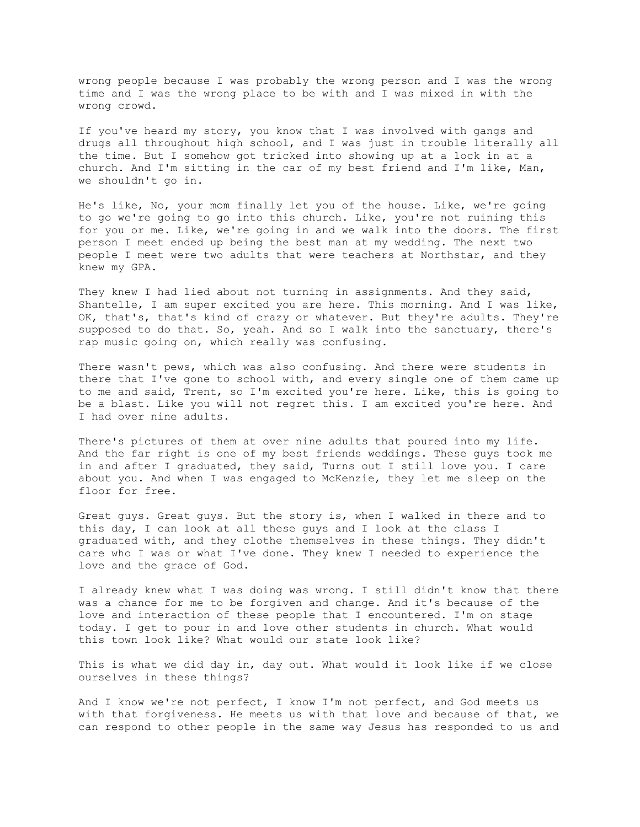wrong people because I was probably the wrong person and I was the wrong time and I was the wrong place to be with and I was mixed in with the wrong crowd.

If you've heard my story, you know that I was involved with gangs and drugs all throughout high school, and I was just in trouble literally all the time. But I somehow got tricked into showing up at a lock in at a church. And I'm sitting in the car of my best friend and I'm like, Man, we shouldn't go in.

He's like, No, your mom finally let you of the house. Like, we're going to go we're going to go into this church. Like, you're not ruining this for you or me. Like, we're going in and we walk into the doors. The first person I meet ended up being the best man at my wedding. The next two people I meet were two adults that were teachers at Northstar, and they knew my GPA.

They knew I had lied about not turning in assignments. And they said, Shantelle, I am super excited you are here. This morning. And I was like, OK, that's, that's kind of crazy or whatever. But they're adults. They're supposed to do that. So, yeah. And so I walk into the sanctuary, there's rap music going on, which really was confusing.

There wasn't pews, which was also confusing. And there were students in there that I've gone to school with, and every single one of them came up to me and said, Trent, so I'm excited you're here. Like, this is going to be a blast. Like you will not regret this. I am excited you're here. And I had over nine adults.

There's pictures of them at over nine adults that poured into my life. And the far right is one of my best friends weddings. These guys took me in and after I graduated, they said, Turns out I still love you. I care about you. And when I was engaged to McKenzie, they let me sleep on the floor for free.

Great guys. Great guys. But the story is, when I walked in there and to this day, I can look at all these guys and I look at the class I graduated with, and they clothe themselves in these things. They didn't care who I was or what I've done. They knew I needed to experience the love and the grace of God.

I already knew what I was doing was wrong. I still didn't know that there was a chance for me to be forgiven and change. And it's because of the love and interaction of these people that I encountered. I'm on stage today. I get to pour in and love other students in church. What would this town look like? What would our state look like?

This is what we did day in, day out. What would it look like if we close ourselves in these things?

And I know we're not perfect, I know I'm not perfect, and God meets us with that forgiveness. He meets us with that love and because of that, we can respond to other people in the same way Jesus has responded to us and